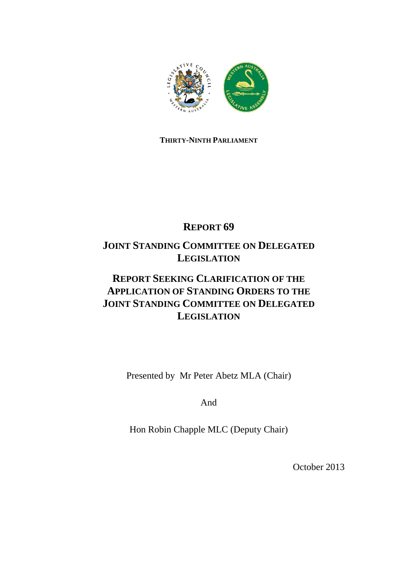

### **THIRTY-NINTH PARLIAMENT**

# **REPORT 69**

# **JOINT STANDING COMMITTEE ON DELEGATED LEGISLATION**

# **REPORT SEEKING CLARIFICATION OF THE APPLICATION OF STANDING ORDERS TO THE JOINT STANDING COMMITTEE ON DELEGATED LEGISLATION**

Presented by Mr Peter Abetz MLA (Chair)

And

Hon Robin Chapple MLC (Deputy Chair)

October 2013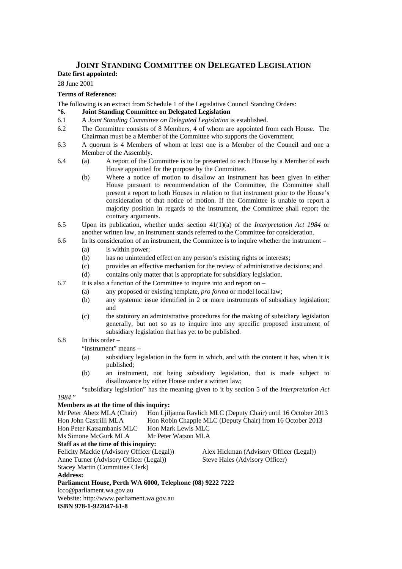# **JOINT STANDING COMMITTEE ON DELEGATED LEGISLATION**

### **Date first appointed:**

#### 28 June 2001

#### **Terms of Reference:**

The following is an extract from Schedule 1 of the Legislative Council Standing Orders:

#### "**6. Joint Standing Committee on Delegated Legislation**

- 6.1 A *Joint Standing Committee on Delegated Legislation* is established.
- 6.2 The Committee consists of 8 Members, 4 of whom are appointed from each House. The Chairman must be a Member of the Committee who supports the Government.
- 6.3 A quorum is 4 Members of whom at least one is a Member of the Council and one a Member of the Assembly.
- 6.4 (a) A report of the Committee is to be presented to each House by a Member of each House appointed for the purpose by the Committee.
	- (b) Where a notice of motion to disallow an instrument has been given in either House pursuant to recommendation of the Committee, the Committee shall present a report to both Houses in relation to that instrument prior to the House's consideration of that notice of motion. If the Committee is unable to report a majority position in regards to the instrument, the Committee shall report the contrary arguments.
- 6.5 Upon its publication, whether under section 41(1)(a) of the *Interpretation Act 1984* or another written law, an instrument stands referred to the Committee for consideration.
- 6.6 In its consideration of an instrument, the Committee is to inquire whether the instrument
	- (a) is within power;
	- (b) has no unintended effect on any person's existing rights or interests;
	- (c) provides an effective mechanism for the review of administrative decisions; and
	- (d) contains only matter that is appropriate for subsidiary legislation.
- 6.7 It is also a function of the Committee to inquire into and report on
	- (a) any proposed or existing template, *pro forma* or model local law;
		- (b) any systemic issue identified in 2 or more instruments of subsidiary legislation; and
		- (c) the statutory an administrative procedures for the making of subsidiary legislation generally, but not so as to inquire into any specific proposed instrument of subsidiary legislation that has yet to be published.
- 6.8 In this order –

"instrument" means –

- (a) subsidiary legislation in the form in which, and with the content it has, when it is published;
- (b) an instrument, not being subsidiary legislation, that is made subject to disallowance by either House under a written law;

 "subsidiary legislation" has the meaning given to it by section 5 of the *Interpretation Act 1984*."

#### **Members as at the time of this inquiry:**

| Mr Peter Abetz MLA (Chair)                                |                                                           | Hon Lilianna Ravlich MLC (Deputy Chair) until 16 October 2013 |  |
|-----------------------------------------------------------|-----------------------------------------------------------|---------------------------------------------------------------|--|
| Hon John Castrilli MLA                                    | Hon Robin Chapple MLC (Deputy Chair) from 16 October 2013 |                                                               |  |
| Hon Peter Katsambanis MLC                                 | Hon Mark Lewis MLC                                        |                                                               |  |
| Ms Simone McGurk MLA                                      | Mr Peter Watson MLA                                       |                                                               |  |
| Staff as at the time of this inquiry:                     |                                                           |                                                               |  |
| Felicity Mackie (Advisory Officer (Legal))                |                                                           | Alex Hickman (Advisory Officer (Legal))                       |  |
| Anne Turner (Advisory Officer (Legal))                    |                                                           | Steve Hales (Advisory Officer)                                |  |
| <b>Stacey Martin (Committee Clerk)</b>                    |                                                           |                                                               |  |
| <b>Address:</b>                                           |                                                           |                                                               |  |
| Parliament House, Perth WA 6000, Telephone (08) 9222 7222 |                                                           |                                                               |  |
| lcco@parliament.wa.gov.au                                 |                                                           |                                                               |  |
| Website: http://www.parliament.wa.gov.au                  |                                                           |                                                               |  |
| ISBN 978-1-922047-61-8                                    |                                                           |                                                               |  |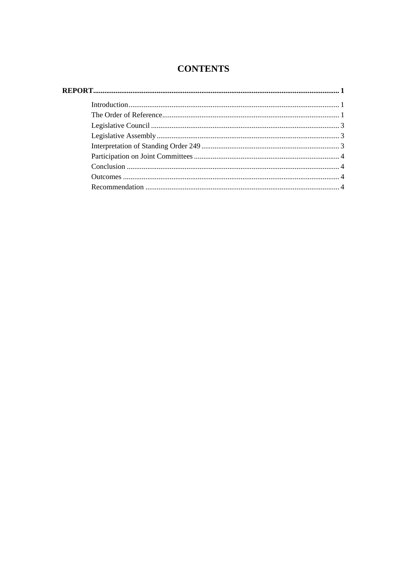### **CONTENTS**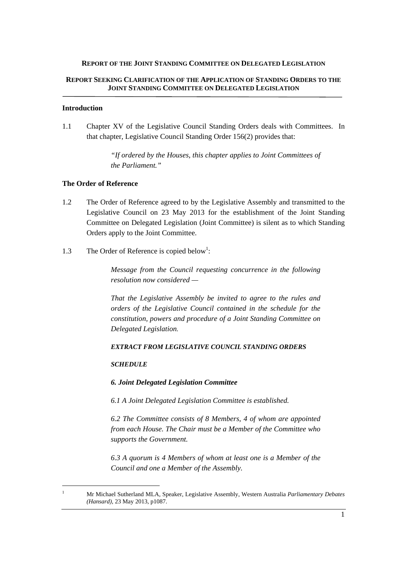#### **REPORT OF THE JOINT STANDING COMMITTEE ON DELEGATED LEGISLATION**

#### **REPORT SEEKING CLARIFICATION OF THE APPLICATION OF STANDING ORDERS TO THE JOINT STANDING COMMITTEE ON DELEGATED LEGISLATION**

#### **Introduction**

1.1 Chapter XV of the Legislative Council Standing Orders deals with Committees. In that chapter, Legislative Council Standing Order 156(2) provides that:

> *"If ordered by the Houses, this chapter applies to Joint Committees of the Parliament."*

#### **The Order of Reference**

- 1.2 The Order of Reference agreed to by the Legislative Assembly and transmitted to the Legislative Council on 23 May 2013 for the establishment of the Joint Standing Committee on Delegated Legislation (Joint Committee) is silent as to which Standing Orders apply to the Joint Committee.
- 1.3 The Order of Reference is copied below<sup>1</sup>:

*Message from the Council requesting concurrence in the following resolution now considered —* 

*That the Legislative Assembly be invited to agree to the rules and orders of the Legislative Council contained in the schedule for the constitution, powers and procedure of a Joint Standing Committee on Delegated Legislation.* 

#### *EXTRACT FROM LEGISLATIVE COUNCIL STANDING ORDERS*

#### *SCHEDULE*

 $\overline{a}$ 

#### *6. Joint Delegated Legislation Committee*

*6.1 A Joint Delegated Legislation Committee is established.* 

*6.2 The Committee consists of 8 Members, 4 of whom are appointed from each House. The Chair must be a Member of the Committee who supports the Government.* 

*6.3 A quorum is 4 Members of whom at least one is a Member of the Council and one a Member of the Assembly.* 

<sup>1</sup> Mr Michael Sutherland MLA, Speaker, Legislative Assembly, Western Australia *Parliamentary Debates (Hansard),* 23 May 2013, p1087.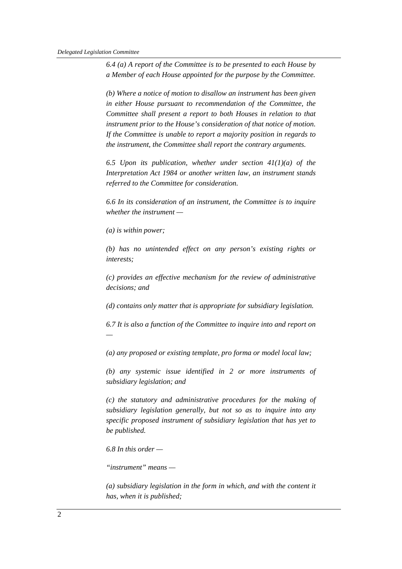*6.4 (a) A report of the Committee is to be presented to each House by a Member of each House appointed for the purpose by the Committee.* 

*(b) Where a notice of motion to disallow an instrument has been given in either House pursuant to recommendation of the Committee, the Committee shall present a report to both Houses in relation to that instrument prior to the House's consideration of that notice of motion. If the Committee is unable to report a majority position in regards to the instrument, the Committee shall report the contrary arguments.* 

*6.5 Upon its publication, whether under section 41(1)(a) of the Interpretation Act 1984 or another written law, an instrument stands referred to the Committee for consideration.* 

*6.6 In its consideration of an instrument, the Committee is to inquire whether the instrument —* 

*(a) is within power;* 

*(b) has no unintended effect on any person's existing rights or interests;* 

*(c) provides an effective mechanism for the review of administrative decisions; and* 

*(d) contains only matter that is appropriate for subsidiary legislation.* 

*6.7 It is also a function of the Committee to inquire into and report on —* 

*(a) any proposed or existing template, pro forma or model local law;* 

*(b) any systemic issue identified in 2 or more instruments of subsidiary legislation; and* 

*(c) the statutory and administrative procedures for the making of subsidiary legislation generally, but not so as to inquire into any specific proposed instrument of subsidiary legislation that has yet to be published.* 

*6.8 In this order —* 

*"instrument" means —* 

*(a) subsidiary legislation in the form in which, and with the content it has, when it is published;*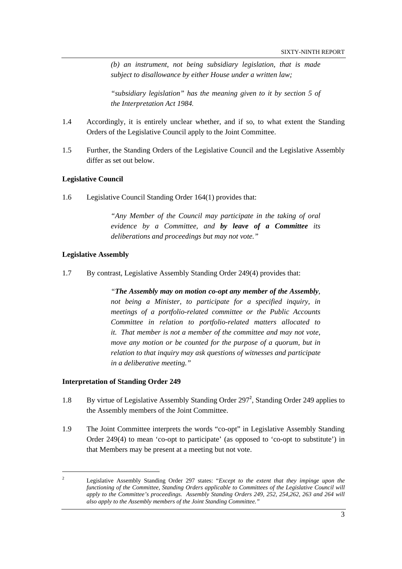*(b) an instrument, not being subsidiary legislation, that is made subject to disallowance by either House under a written law;* 

*"subsidiary legislation" has the meaning given to it by section 5 of the Interpretation Act 1984.* 

- 1.4 Accordingly, it is entirely unclear whether, and if so, to what extent the Standing Orders of the Legislative Council apply to the Joint Committee.
- 1.5 Further, the Standing Orders of the Legislative Council and the Legislative Assembly differ as set out below.

#### **Legislative Council**

1.6 Legislative Council Standing Order 164(1) provides that:

*"Any Member of the Council may participate in the taking of oral evidence by a Committee, and by leave of a Committee its deliberations and proceedings but may not vote."* 

#### **Legislative Assembly**

1.7 By contrast, Legislative Assembly Standing Order 249(4) provides that:

*"The Assembly may on motion co-opt any member of the Assembly, not being a Minister, to participate for a specified inquiry, in meetings of a portfolio-related committee or the Public Accounts Committee in relation to portfolio-related matters allocated to it. That member is not a member of the committee and may not vote, move any motion or be counted for the purpose of a quorum, but in relation to that inquiry may ask questions of witnesses and participate in a deliberative meeting."* 

#### **Interpretation of Standing Order 249**

- 1.8 By virtue of Legislative Assembly Standing Order 297<sup>2</sup>, Standing Order 249 applies to the Assembly members of the Joint Committee.
- 1.9 The Joint Committee interprets the words "co-opt" in Legislative Assembly Standing Order 249(4) to mean 'co-opt to participate' (as opposed to 'co-opt to substitute') in that Members may be present at a meeting but not vote.

<sup>2</sup> Legislative Assembly Standing Order 297 states: "*Except to the extent that they impinge upon the functioning of the Committee, Standing Orders applicable to Committees of the Legislative Council will apply to the Committee's proceedings. Assembly Standing Orders 249, 252, 254,262, 263 and 264 will also apply to the Assembly members of the Joint Standing Committee."*